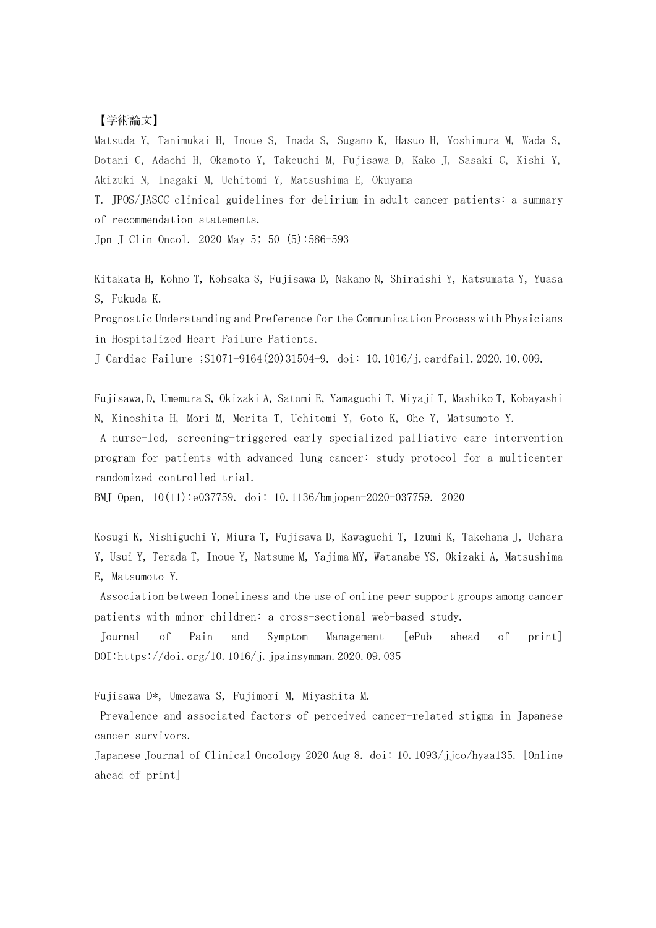## 【学術論文】

Matsuda Y, Tanimukai H, Inoue S, Inada S, Sugano K, Hasuo H, Yoshimura M, Wada S, Dotani C, Adachi H, Okamoto Y, Takeuchi M, Fujisawa D, Kako J, Sasaki C, Kishi Y, Akizuki N, Inagaki M, Uchitomi Y, Matsushima E, Okuyama

T. JPOS/JASCC clinical guidelines for delirium in adult cancer patients: a summary of recommendation statements.

Jpn J Clin Oncol. 2020 May 5; 50 (5):586-593

Kitakata H, Kohno T, Kohsaka S, Fujisawa D, Nakano N, Shiraishi Y, Katsumata Y, Yuasa S, Fukuda K.

Prognostic Understanding and Preference for the Communication Process with Physicians in Hospitalized Heart Failure Patients.

J Cardiac Failure ;S1071-9164(20)31504-9. doi: 10.1016/j.cardfail.2020.10.009.

Fujisawa,D, Umemura S, Okizaki A, Satomi E, Yamaguchi T, Miyaji T, Mashiko T, Kobayashi N, Kinoshita H, Mori M, Morita T, Uchitomi Y, Goto K, Ohe Y, Matsumoto Y.

A nurse-led, screening-triggered early specialized palliative care intervention program for patients with advanced lung cancer: study protocol for a multicenter randomized controlled trial.

BMJ Open, 10(11):e037759. doi: 10.1136/bmjopen-2020-037759. 2020

Kosugi K, Nishiguchi Y, Miura T, Fujisawa D, Kawaguchi T, Izumi K, Takehana J, Uehara Y, Usui Y, Terada T, Inoue Y, Natsume M, Yajima MY, Watanabe YS, Okizaki A, Matsushima E, Matsumoto Y.

Association between loneliness and the use of online peer support groups among cancer patients with minor children: a cross-sectional web-based study.

Journal of Pain and Symptom Management [ePub ahead of print] DOI:https://doi.org/10.1016/j.jpainsymman.2020.09.035

Fujisawa D\*, Umezawa S, Fujimori M, Miyashita M.

Prevalence and associated factors of perceived cancer-related stigma in Japanese cancer survivors.

Japanese Journal of Clinical Oncology 2020 Aug 8. doi: 10.1093/jjco/hyaa135. [Online ahead of print]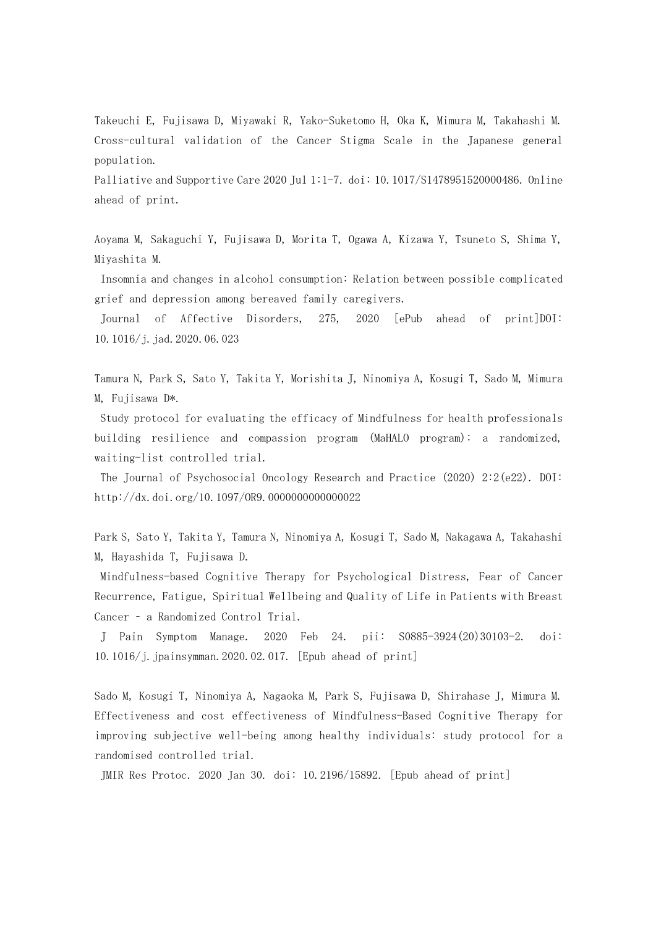Takeuchi E, Fujisawa D, Miyawaki R, Yako-Suketomo H, Oka K, Mimura M, Takahashi M. Cross-cultural validation of the Cancer Stigma Scale in the Japanese general population.

Palliative and Supportive Care 2020 Jul 1:1-7. doi: 10.1017/S1478951520000486. Online ahead of print.

Aoyama M, Sakaguchi Y, Fujisawa D, Morita T, Ogawa A, Kizawa Y, Tsuneto S, Shima Y, Miyashita M.

Insomnia and changes in alcohol consumption: Relation between possible complicated grief and depression among bereaved family caregivers.

Journal of Affective Disorders, 275, 2020 [ePub ahead of print]DOI: 10.1016/j.jad.2020.06.023

Tamura N, Park S, Sato Y, Takita Y, Morishita J, Ninomiya A, Kosugi T, Sado M, Mimura M, Fujisawa D\*.

Study protocol for evaluating the efficacy of Mindfulness for health professionals building resilience and compassion program (MaHALO program): a randomized, waiting-list controlled trial.

The Journal of Psychosocial Oncology Research and Practice (2020) 2:2(e22). DOI: http://dx.doi.org/10.1097/OR9.0000000000000022

Park S, Sato Y, Takita Y, Tamura N, Ninomiya A, Kosugi T, Sado M, Nakagawa A, Takahashi M, Hayashida T, Fujisawa D.

Mindfulness-based Cognitive Therapy for Psychological Distress, Fear of Cancer Recurrence, Fatigue, Spiritual Wellbeing and Quality of Life in Patients with Breast Cancer – a Randomized Control Trial.

J Pain Symptom Manage. 2020 Feb 24. pii: S0885-3924(20)30103-2. doi: 10.1016/j.jpainsymman.2020.02.017. [Epub ahead of print]

Sado M, Kosugi T, Ninomiya A, Nagaoka M, Park S, Fujisawa D, Shirahase J, Mimura M. Effectiveness and cost effectiveness of Mindfulness-Based Cognitive Therapy for improving subjective well-being among healthy individuals: study protocol for a randomised controlled trial.

JMIR Res Protoc. 2020 Jan 30. doi: 10.2196/15892. [Epub ahead of print]